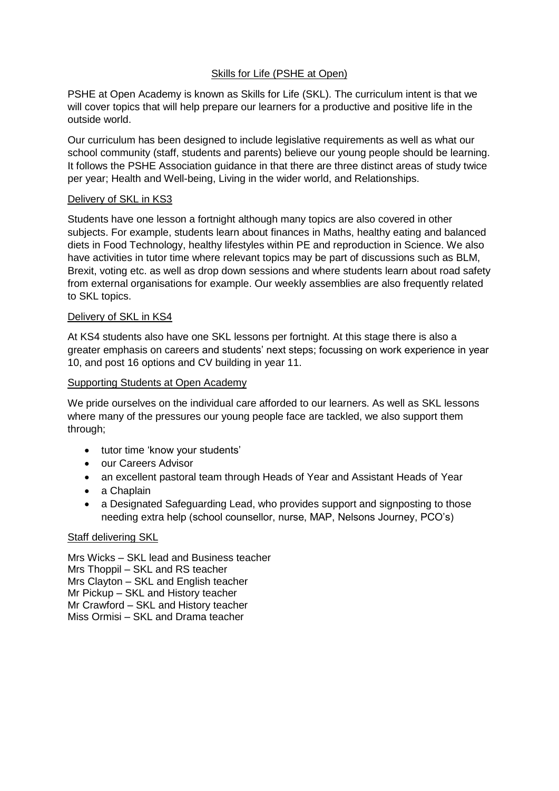## Skills for Life (PSHE at Open)

PSHE at Open Academy is known as Skills for Life (SKL). The curriculum intent is that we will cover topics that will help prepare our learners for a productive and positive life in the outside world.

Our curriculum has been designed to include legislative requirements as well as what our school community (staff, students and parents) believe our young people should be learning. It follows the PSHE Association guidance in that there are three distinct areas of study twice per year; Health and Well-being, Living in the wider world, and Relationships.

## Delivery of SKL in KS3

Students have one lesson a fortnight although many topics are also covered in other subjects. For example, students learn about finances in Maths, healthy eating and balanced diets in Food Technology, healthy lifestyles within PE and reproduction in Science. We also have activities in tutor time where relevant topics may be part of discussions such as BLM, Brexit, voting etc. as well as drop down sessions and where students learn about road safety from external organisations for example. Our weekly assemblies are also frequently related to SKL topics.

## Delivery of SKL in KS4

At KS4 students also have one SKL lessons per fortnight. At this stage there is also a greater emphasis on careers and students' next steps; focussing on work experience in year 10, and post 16 options and CV building in year 11.

#### Supporting Students at Open Academy

We pride ourselves on the individual care afforded to our learners. As well as SKL lessons where many of the pressures our young people face are tackled, we also support them through;

- tutor time 'know your students'
- our Careers Advisor
- an excellent pastoral team through Heads of Year and Assistant Heads of Year
- a Chaplain
- a Designated Safeguarding Lead, who provides support and signposting to those needing extra help (school counsellor, nurse, MAP, Nelsons Journey, PCO's)

## Staff delivering SKL

Mrs Wicks – SKL lead and Business teacher Mrs Thoppil – SKL and RS teacher Mrs Clayton – SKL and English teacher Mr Pickup – SKL and History teacher Mr Crawford – SKL and History teacher Miss Ormisi – SKL and Drama teacher